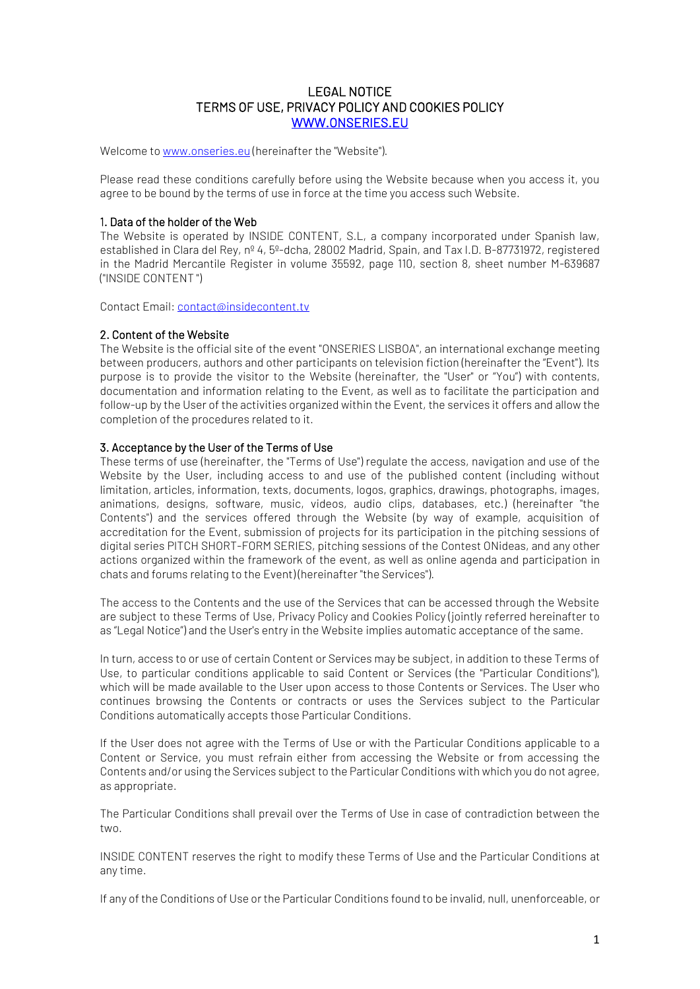# LEGAL NOTICE TERMS OF USE, PRIVACY POLICY AND COOKIES POLICY [WWW.ONSERIES.EU](http://www.onseries.eu/)

Welcome t[o www.onseries.eu](http://www.onseries.eu/) (hereinafter the "Website").

Please read these conditions carefully before using the Website because when you access it, you agree to be bound by the terms of use in force at the time you access such Website.

### 1. Data of the holder of the Web

The Website is operated by INSIDE CONTENT, S.L, a company incorporated under Spanish law, established in Clara del Rey, nº 4, 5º-dcha, 28002 Madrid, Spain, and Tax I.D. B-87731972, registered in the Madrid Mercantile Register in volume 35592, page 110, section 8, sheet number M-639687 ("INSIDE CONTENT ")

Contact Email: [contact@insidecontent.tv](mailto:contact@insidecontent.tv)

### 2. Content of the Website

The Website is the official site of the event "ONSERIES LISBOA", an international exchange meeting between producers, authors and other participants on television fiction (hereinafter the "Event"). Its purpose is to provide the visitor to the Website (hereinafter, the "User" or "You") with contents, documentation and information relating to the Event, as well as to facilitate the participation and follow-up by the User of the activities organized within the Event, the services it offers and allow the completion of the procedures related to it.

### 3. Acceptance by the User of the Terms of Use

These terms of use (hereinafter, the "Terms of Use") regulate the access, navigation and use of the Website by the User, including access to and use of the published content (including without limitation, articles, information, texts, documents, logos, graphics, drawings, photographs, images, animations, designs, software, music, videos, audio clips, databases, etc.) (hereinafter "the Contents") and the services offered through the Website (by way of example, acquisition of accreditation for the Event, submission of projects for its participation in the pitching sessions of digital series PITCH SHORT-FORM SERIES, pitching sessions of the Contest ONideas, and any other actions organized within the framework of the event, as well as online agenda and participation in chats and forums relating to the Event) (hereinafter "the Services").

The access to the Contents and the use of the Services that can be accessed through the Website are subject to these Terms of Use, Privacy Policy and Cookies Policy (jointly referred hereinafter to as "Legal Notice") and the User's entry in the Website implies automatic acceptance of the same.

In turn, access to or use of certain Content or Services may be subject, in addition to these Terms of Use, to particular conditions applicable to said Content or Services (the "Particular Conditions"), which will be made available to the User upon access to those Contents or Services. The User who continues browsing the Contents or contracts or uses the Services subject to the Particular Conditions automatically accepts those Particular Conditions.

If the User does not agree with the Terms of Use or with the Particular Conditions applicable to a Content or Service, you must refrain either from accessing the Website or from accessing the Contents and/or using the Services subject to the Particular Conditions with which you do not agree, as appropriate.

The Particular Conditions shall prevail over the Terms of Use in case of contradiction between the two.

INSIDE CONTENT reserves the right to modify these Terms of Use and the Particular Conditions at any time.

If any of the Conditions of Use or the Particular Conditions found to be invalid, null, unenforceable, or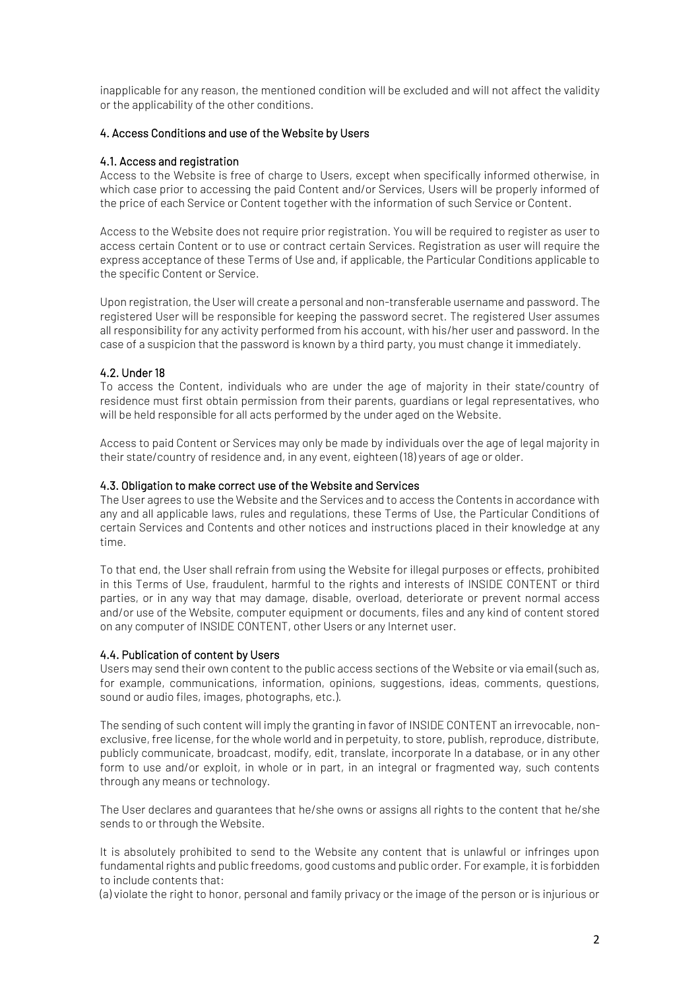inapplicable for any reason, the mentioned condition will be excluded and will not affect the validity or the applicability of the other conditions.

# 4. Access Conditions and use of the Website by Users

## 4.1. Access and registration

Access to the Website is free of charge to Users, except when specifically informed otherwise, in which case prior to accessing the paid Content and/or Services, Users will be properly informed of the price of each Service or Content together with the information of such Service or Content.

Access to the Website does not require prior registration. You will be required to register as user to access certain Content or to use or contract certain Services. Registration as user will require the express acceptance of these Terms of Use and, if applicable, the Particular Conditions applicable to the specific Content or Service.

Upon registration, the User will create a personal and non-transferable username and password. The registered User will be responsible for keeping the password secret. The registered User assumes all responsibility for any activity performed from his account, with his/her user and password. In the case of a suspicion that the password is known by a third party, you must change it immediately.

# 4.2. Under 18

To access the Content, individuals who are under the age of majority in their state/country of residence must first obtain permission from their parents, guardians or legal representatives, who will be held responsible for all acts performed by the under aged on the Website.

Access to paid Content or Services may only be made by individuals over the age of legal majority in their state/country of residence and, in any event, eighteen (18) years of age or older.

## 4.3. Obligation to make correct use of the Website and Services

The User agrees to use the Website and the Services and to access the Contents in accordance with any and all applicable laws, rules and regulations, these Terms of Use, the Particular Conditions of certain Services and Contents and other notices and instructions placed in their knowledge at any time.

To that end, the User shall refrain from using the Website for illegal purposes or effects, prohibited in this Terms of Use, fraudulent, harmful to the rights and interests of INSIDE CONTENT or third parties, or in any way that may damage, disable, overload, deteriorate or prevent normal access and/or use of the Website, computer equipment or documents, files and any kind of content stored on any computer of INSIDE CONTENT, other Users or any Internet user.

## 4.4. Publication of content by Users

Users may send their own content to the public access sections of the Website or via email (such as, for example, communications, information, opinions, suggestions, ideas, comments, questions, sound or audio files, images, photographs, etc.).

The sending of such content will imply the granting in favor of INSIDE CONTENT an irrevocable, nonexclusive, free license, for the whole world and in perpetuity, to store, publish, reproduce, distribute, publicly communicate, broadcast, modify, edit, translate, incorporate In a database, or in any other form to use and/or exploit, in whole or in part, in an integral or fragmented way, such contents through any means or technology.

The User declares and guarantees that he/she owns or assigns all rights to the content that he/she sends to or through the Website.

It is absolutely prohibited to send to the Website any content that is unlawful or infringes upon fundamental rights and public freedoms, good customs and public order. For example, it is forbidden to include contents that:

(a) violate the right to honor, personal and family privacy or the image of the person or is injurious or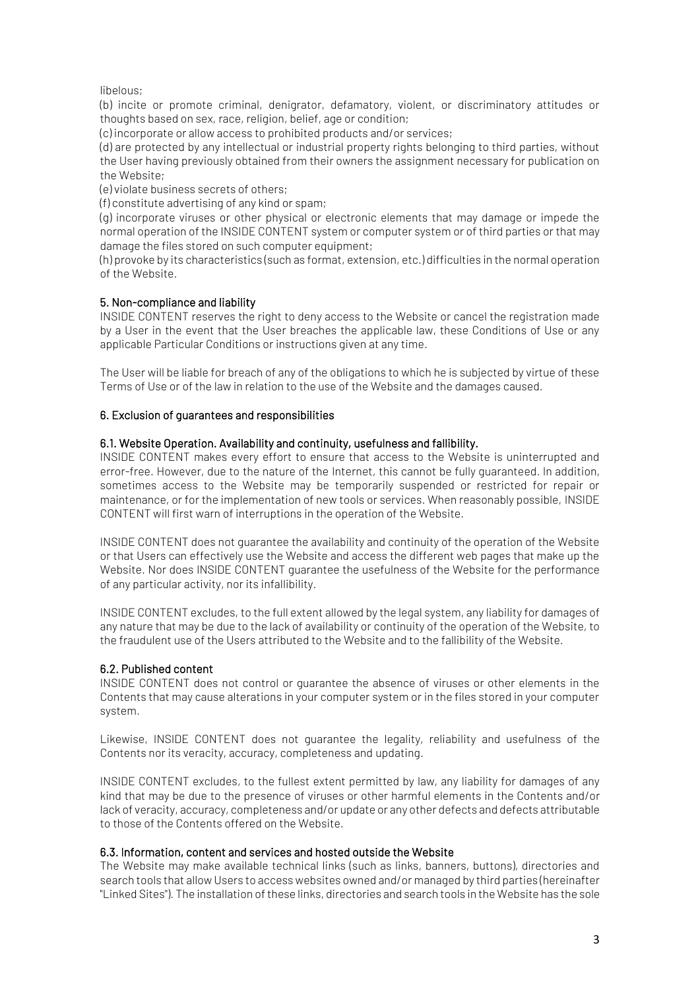libelous;

(b) incite or promote criminal, denigrator, defamatory, violent, or discriminatory attitudes or thoughts based on sex, race, religion, belief, age or condition;

(c) incorporate or allow access to prohibited products and/or services;

(d) are protected by any intellectual or industrial property rights belonging to third parties, without the User having previously obtained from their owners the assignment necessary for publication on the Website;

(e) violate business secrets of others;

(f) constitute advertising of any kind or spam;

(g) incorporate viruses or other physical or electronic elements that may damage or impede the normal operation of the INSIDE CONTENT system or computer system or of third parties or that may damage the files stored on such computer equipment;

(h) provoke by its characteristics (such as format, extension, etc.) difficulties in the normal operation of the Website.

## 5. Non-compliance and liability

INSIDE CONTENT reserves the right to deny access to the Website or cancel the registration made by a User in the event that the User breaches the applicable law, these Conditions of Use or any applicable Particular Conditions or instructions given at any time.

The User will be liable for breach of any of the obligations to which he is subjected by virtue of these Terms of Use or of the law in relation to the use of the Website and the damages caused.

### 6. Exclusion of guarantees and responsibilities

### 6.1. Website Operation. Availability and continuity, usefulness and fallibility.

INSIDE CONTENT makes every effort to ensure that access to the Website is uninterrupted and error-free. However, due to the nature of the Internet, this cannot be fully guaranteed. In addition, sometimes access to the Website may be temporarily suspended or restricted for repair or maintenance, or for the implementation of new tools or services. When reasonably possible, INSIDE CONTENT will first warn of interruptions in the operation of the Website.

INSIDE CONTENT does not guarantee the availability and continuity of the operation of the Website or that Users can effectively use the Website and access the different web pages that make up the Website. Nor does INSIDE CONTENT guarantee the usefulness of the Website for the performance of any particular activity, nor its infallibility.

INSIDE CONTENT excludes, to the full extent allowed by the legal system, any liability for damages of any nature that may be due to the lack of availability or continuity of the operation of the Website, to the fraudulent use of the Users attributed to the Website and to the fallibility of the Website.

## 6.2. Published content

INSIDE CONTENT does not control or guarantee the absence of viruses or other elements in the Contents that may cause alterations in your computer system or in the files stored in your computer system.

Likewise, INSIDE CONTENT does not guarantee the legality, reliability and usefulness of the Contents nor its veracity, accuracy, completeness and updating.

INSIDE CONTENT excludes, to the fullest extent permitted by law, any liability for damages of any kind that may be due to the presence of viruses or other harmful elements in the Contents and/or lack of veracity, accuracy, completeness and/or update or any other defects and defects attributable to those of the Contents offered on the Website.

#### 6.3. Information, content and services and hosted outside the Website

The Website may make available technical links (such as links, banners, buttons), directories and search tools that allow Users to access websites owned and/or managed by third parties (hereinafter "Linked Sites"). The installation of these links, directories and search tools in the Website has the sole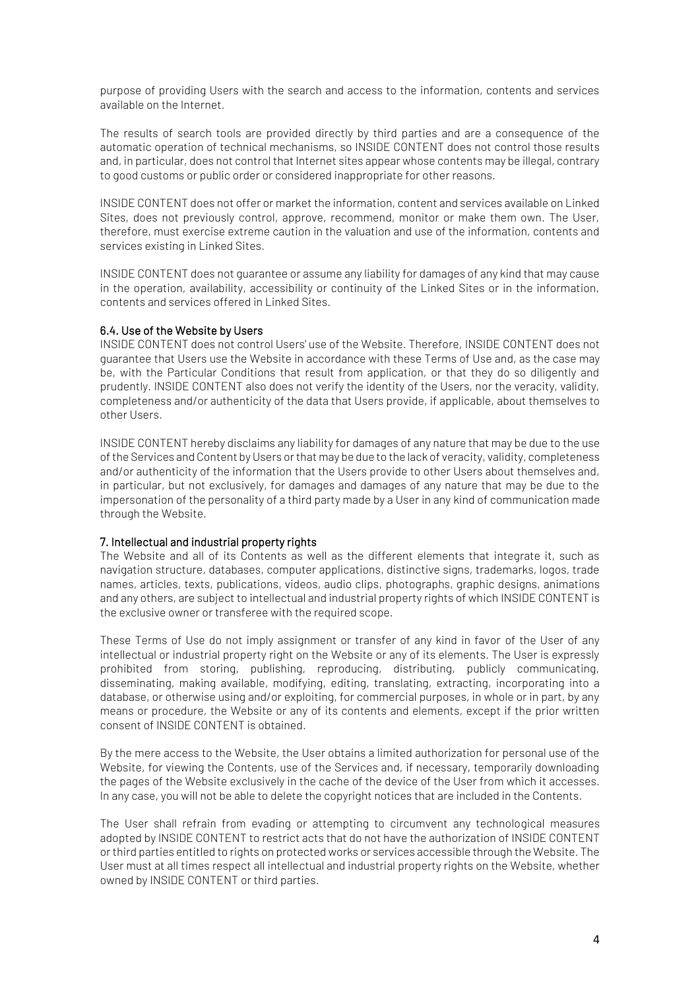purpose of providing Users with the search and access to the information, contents and services available on the Internet.

The results of search tools are provided directly by third parties and are a consequence of the automatic operation of technical mechanisms, so INSIDE CONTENT does not control those results and, in particular, does not control that Internet sites appear whose contents may be illegal, contrary to good customs or public order or considered inappropriate for other reasons.

INSIDE CONTENT does not offer or market the information, content and services available on Linked Sites, does not previously control, approve, recommend, monitor or make them own. The User, therefore, must exercise extreme caution in the valuation and use of the information, contents and services existing in Linked Sites.

INSIDE CONTENT does not guarantee or assume any liability for damages of any kind that may cause in the operation, availability, accessibility or continuity of the Linked Sites or in the information, contents and services offered in Linked Sites.

## 6.4. Use of the Website by Users

INSIDE CONTENT does not control Users' use of the Website. Therefore, INSIDE CONTENT does not guarantee that Users use the Website in accordance with these Terms of Use and, as the case may be, with the Particular Conditions that result from application, or that they do so diligently and prudently. INSIDE CONTENT also does not verify the identity of the Users, nor the veracity, validity, completeness and/or authenticity of the data that Users provide, if applicable, about themselves to other Users.

INSIDE CONTENT hereby disclaims any liability for damages of any nature that may be due to the use of the Services and Content by Users or that may be due to the lack of veracity, validity, completeness and/or authenticity of the information that the Users provide to other Users about themselves and, in particular, but not exclusively, for damages and damages of any nature that may be due to the impersonation of the personality of a third party made by a User in any kind of communication made through the Website.

## 7. Intellectual and industrial property rights

The Website and all of its Contents as well as the different elements that integrate it, such as navigation structure, databases, computer applications, distinctive signs, trademarks, logos, trade names, articles, texts, publications, videos, audio clips, photographs, graphic designs, animations and any others, are subject to intellectual and industrial property rights of which INSIDE CONTENT is the exclusive owner or transferee with the required scope.

These Terms of Use do not imply assignment or transfer of any kind in favor of the User of any intellectual or industrial property right on the Website or any of its elements. The User is expressly prohibited from storing, publishing, reproducing, distributing, publicly communicating, disseminating, making available, modifying, editing, translating, extracting, incorporating into a database, or otherwise using and/or exploiting, for commercial purposes, in whole or in part, by any means or procedure, the Website or any of its contents and elements, except if the prior written consent of INSIDE CONTENT is obtained.

By the mere access to the Website, the User obtains a limited authorization for personal use of the Website, for viewing the Contents, use of the Services and, if necessary, temporarily downloading the pages of the Website exclusively in the cache of the device of the User from which it accesses. In any case, you will not be able to delete the copyright notices that are included in the Contents.

The User shall refrain from evading or attempting to circumvent any technological measures adopted by INSIDE CONTENT to restrict acts that do not have the authorization of INSIDE CONTENT or third parties entitled to rights on protected works or services accessible through the Website. The User must at all times respect all intellectual and industrial property rights on the Website, whether owned by INSIDE CONTENT or third parties.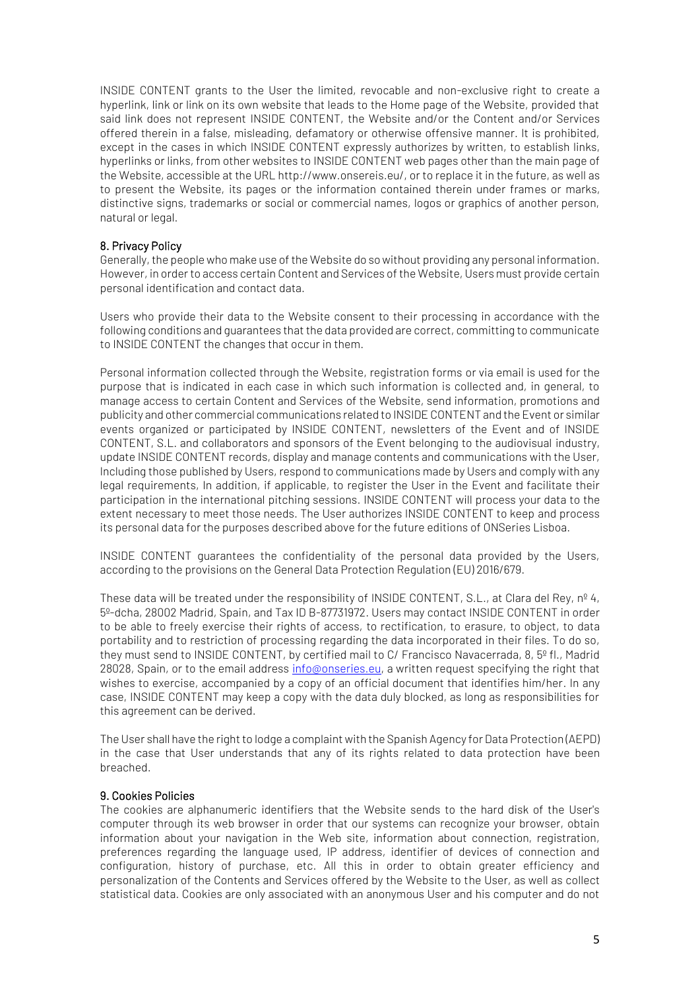INSIDE CONTENT grants to the User the limited, revocable and non-exclusive right to create a hyperlink, link or link on its own website that leads to the Home page of the Website, provided that said link does not represent INSIDE CONTENT, the Website and/or the Content and/or Services offered therein in a false, misleading, defamatory or otherwise offensive manner. It is prohibited, except in the cases in which INSIDE CONTENT expressly authorizes by written, to establish links, hyperlinks or links, from other websites to INSIDE CONTENT web pages other than the main page of the Website, accessible at the URL http://www.onsereis.eu/, or to replace it in the future, as well as to present the Website, its pages or the information contained therein under frames or marks, distinctive signs, trademarks or social or commercial names, logos or graphics of another person, natural or legal.

## 8. Privacy Policy

Generally, the people who make use of the Website do so without providing any personal information. However, in order to access certain Content and Services of the Website, Users must provide certain personal identification and contact data.

Users who provide their data to the Website consent to their processing in accordance with the following conditions and guarantees that the data provided are correct, committing to communicate to INSIDE CONTENT the changes that occur in them.

Personal information collected through the Website, registration forms or via email is used for the purpose that is indicated in each case in which such information is collected and, in general, to manage access to certain Content and Services of the Website, send information, promotions and publicity and other commercial communications related to INSIDE CONTENT and the Event or similar events organized or participated by INSIDE CONTENT, newsletters of the Event and of INSIDE CONTENT, S.L. and collaborators and sponsors of the Event belonging to the audiovisual industry, update INSIDE CONTENT records, display and manage contents and communications with the User, Including those published by Users, respond to communications made by Users and comply with any legal requirements, In addition, if applicable, to register the User in the Event and facilitate their participation in the international pitching sessions. INSIDE CONTENT will process your data to the extent necessary to meet those needs. The User authorizes INSIDE CONTENT to keep and process its personal data for the purposes described above for the future editions of ONSeries Lisboa.

INSIDE CONTENT guarantees the confidentiality of the personal data provided by the Users, according to the provisions on the General Data Protection Regulation (EU) 2016/679.

These data will be treated under the responsibility of INSIDE CONTENT, S.L., at Clara del Rey, nº 4, 5º-dcha, 28002 Madrid, Spain, and Tax ID B-87731972. Users may contact INSIDE CONTENT in order to be able to freely exercise their rights of access, to rectification, to erasure, to object, to data portability and to restriction of processing regarding the data incorporated in their files. To do so, they must send to INSIDE CONTENT, by certified mail to C/ Francisco Navacerrada, 8, 5º fl., Madrid 28028, Spain, or to the email address [info@onseries.eu,](mailto:info@onseries.eu) a written request specifying the right that wishes to exercise, accompanied by a copy of an official document that identifies him/her. In any case, INSIDE CONTENT may keep a copy with the data duly blocked, as long as responsibilities for this agreement can be derived.

The User shall have the right to lodge a complaint with the Spanish Agency for Data Protection (AEPD) in the case that User understands that any of its rights related to data protection have been breached.

#### 9. Cookies Policies

The cookies are alphanumeric identifiers that the Website sends to the hard disk of the User's computer through its web browser in order that our systems can recognize your browser, obtain information about your navigation in the Web site, information about connection, registration, preferences regarding the language used, IP address, identifier of devices of connection and configuration, history of purchase, etc. All this in order to obtain greater efficiency and personalization of the Contents and Services offered by the Website to the User, as well as collect statistical data. Cookies are only associated with an anonymous User and his computer and do not